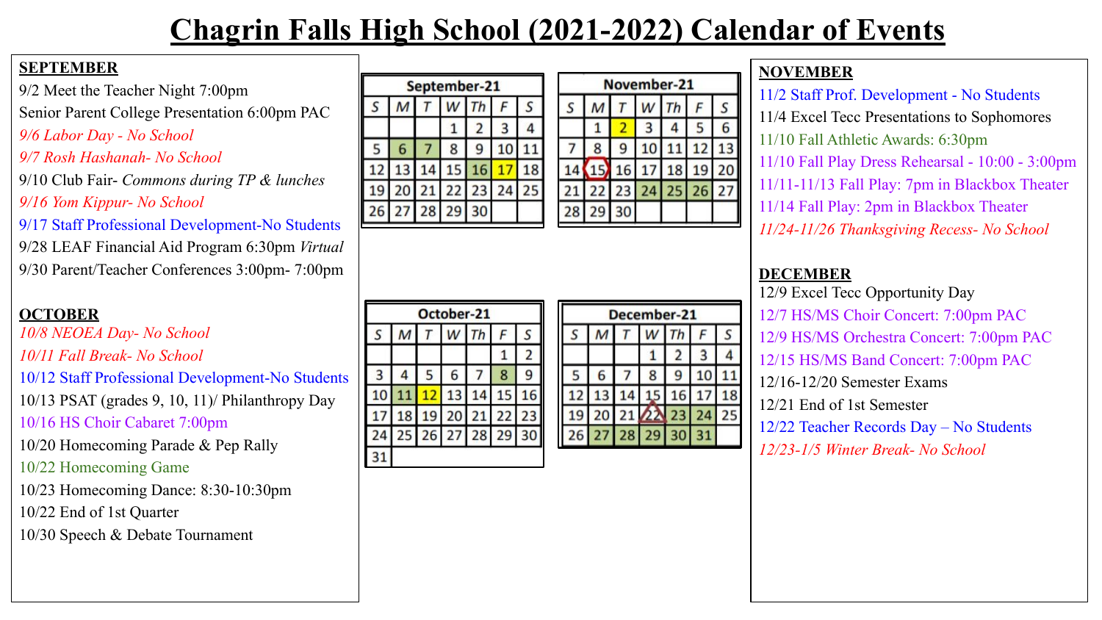# **Chagrin Falls High School (2021-2022) Calendar of Events**

#### **SEPTEMBER**

9/2 Meet the Teacher Night 7:00pm Senior Parent College Presentation 6:00pm PAC *9/6 Labor Day - No School*

#### *9/7 Rosh Hashanah- No School*

9/10 Club Fair- *Commons during TP & lunches 9/16 Yom Kippur- No School*

9/17 Staff Professional Development-No Students

9/28 LEAF Financial Aid Program 6:30pm *Virtual* 9/30 Parent/Teacher Conferences 3:00pm- 7:00pm

### **OCTOBER**

*10/8 NEOEA Day- No School*

*10/11 Fall Break- No School*

10/12 Staff Professional Development-No Students

10/13 PSAT (grades 9, 10, 11)/ Philanthropy Day

10/16 HS Choir Cabaret 7:00pm

10/20 Homecoming Parade & Pep Rally

10/22 Homecoming Game

10/23 Homecoming Dance: 8:30-10:30pm

10/22 End of 1st Quarter

10/30 Speech & Debate Tournament

|    |                |   | September-21 |    |    |  |
|----|----------------|---|--------------|----|----|--|
|    | M              |   | $W$ Th       |    |    |  |
|    |                |   |              |    |    |  |
|    |                | 8 |              | 10 |    |  |
| 12 | 13             |   | 14 15 16     |    |    |  |
|    |                |   | 20 21 22 23  | 24 | 25 |  |
|    | 26 27 28 29 30 |   |              |    |    |  |

| $S$ $M$ $T$ $W$ $Th$ $F$ $S$ |
|------------------------------|
| 6<br>5 I                     |
| 8 9 10 11 12 13              |
| 15 16 17 18 19 20            |
| 21 22 23 24 25 26 27         |
|                              |
|                              |

November-21

#### December-21 M W 3 5 6  $\overline{7}$ 8 10 9 12 13 14 15 16 17 19 20 21 22 23 24 26 27 28 29 30 31

#### **NOVEMBER**

11/2 Staff Prof. Development - No Students 11/4 Excel Tecc Presentations to Sophomores 11/10 Fall Athletic Awards: 6:30pm 11/10 Fall Play Dress Rehearsal - 10:00 - 3:00pm 11/11-11/13 Fall Play: 7pm in Blackbox Theater 11/14 Fall Play: 2pm in Blackbox Theater *11/24-11/26 Thanksgiving Recess- No School*

### **DECEMBER**

S

11

18

25

12/9 Excel Tecc Opportunity Day 12/7 HS/MS Choir Concert: 7:00pm PAC 12/9 HS/MS Orchestra Concert: 7:00pm PAC 12/15 HS/MS Band Concert: 7:00pm PAC 12/16-12/20 Semester Exams 12/21 End of 1st Semester 12/22 Teacher Records Day – No Students *12/23-1/5 Winter Break- No School*

| October-21 |  |   |    |                |    |  |  |
|------------|--|---|----|----------------|----|--|--|
| S          |  |   |    | Th             |    |  |  |
|            |  |   |    |                |    |  |  |
| 3          |  | ς | 6  |                | 8  |  |  |
| 10         |  |   | 13 |                |    |  |  |
| 17         |  |   | 20 | 21             | 22 |  |  |
| 24         |  |   |    | 25 26 27 28 29 |    |  |  |
|            |  |   |    |                |    |  |  |